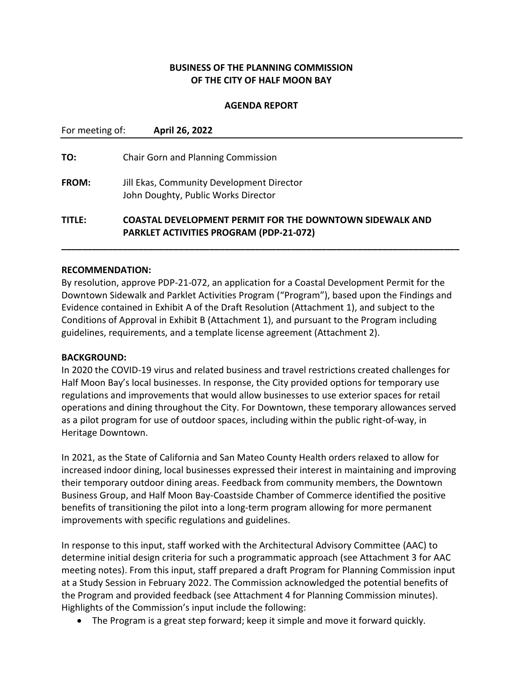# **BUSINESS OF THE PLANNING COMMISSION OF THE CITY OF HALF MOON BAY**

#### **AGENDA REPORT**

| For meeting of: | April 26, 2022                                                                                             |
|-----------------|------------------------------------------------------------------------------------------------------------|
| TO:             | <b>Chair Gorn and Planning Commission</b>                                                                  |
| <b>FROM:</b>    | Jill Ekas, Community Development Director<br>John Doughty, Public Works Director                           |
| TITLE:          | COASTAL DEVELOPMENT PERMIT FOR THE DOWNTOWN SIDEWALK AND<br><b>PARKLET ACTIVITIES PROGRAM (PDP-21-072)</b> |

**\_\_\_\_\_\_\_\_\_\_\_\_\_\_\_\_\_\_\_\_\_\_\_\_\_\_\_\_\_\_\_\_\_\_\_\_\_\_\_\_\_\_\_\_\_\_\_\_\_\_\_\_\_\_\_\_\_\_\_\_\_\_\_\_\_\_\_\_\_\_\_\_\_\_\_\_\_\_**

#### **RECOMMENDATION:**

By resolution, approve PDP-21-072, an application for a Coastal Development Permit for the Downtown Sidewalk and Parklet Activities Program ("Program"), based upon the Findings and Evidence contained in Exhibit A of the Draft Resolution (Attachment 1), and subject to the Conditions of Approval in Exhibit B (Attachment 1), and pursuant to the Program including guidelines, requirements, and a template license agreement (Attachment 2).

#### **BACKGROUND:**

In 2020 the COVID-19 virus and related business and travel restrictions created challenges for Half Moon Bay's local businesses. In response, the City provided options for temporary use regulations and improvements that would allow businesses to use exterior spaces for retail operations and dining throughout the City. For Downtown, these temporary allowances served as a pilot program for use of outdoor spaces, including within the public right-of-way, in Heritage Downtown.

In 2021, as the State of California and San Mateo County Health orders relaxed to allow for increased indoor dining, local businesses expressed their interest in maintaining and improving their temporary outdoor dining areas. Feedback from community members, the Downtown Business Group, and Half Moon Bay-Coastside Chamber of Commerce identified the positive benefits of transitioning the pilot into a long-term program allowing for more permanent improvements with specific regulations and guidelines.

In response to this input, staff worked with the Architectural Advisory Committee (AAC) to determine initial design criteria for such a programmatic approach (see Attachment 3 for AAC meeting notes). From this input, staff prepared a draft Program for Planning Commission input at a Study Session in February 2022. The Commission acknowledged the potential benefits of the Program and provided feedback (see Attachment 4 for Planning Commission minutes). Highlights of the Commission's input include the following:

• The Program is a great step forward; keep it simple and move it forward quickly.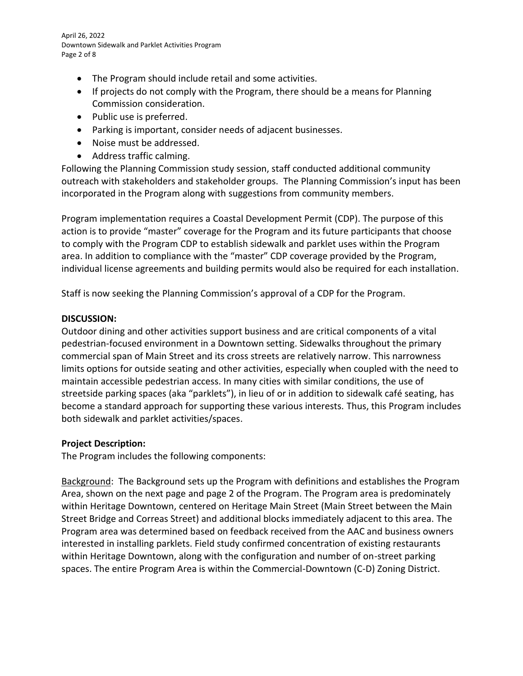April 26, 2022 Downtown Sidewalk and Parklet Activities Program Page 2 of 8

- The Program should include retail and some activities.
- If projects do not comply with the Program, there should be a means for Planning Commission consideration.
- Public use is preferred.
- Parking is important, consider needs of adjacent businesses.
- Noise must be addressed.
- Address traffic calming.

Following the Planning Commission study session, staff conducted additional community outreach with stakeholders and stakeholder groups. The Planning Commission's input has been incorporated in the Program along with suggestions from community members.

Program implementation requires a Coastal Development Permit (CDP). The purpose of this action is to provide "master" coverage for the Program and its future participants that choose to comply with the Program CDP to establish sidewalk and parklet uses within the Program area. In addition to compliance with the "master" CDP coverage provided by the Program, individual license agreements and building permits would also be required for each installation.

Staff is now seeking the Planning Commission's approval of a CDP for the Program.

#### **DISCUSSION:**

Outdoor dining and other activities support business and are critical components of a vital pedestrian-focused environment in a Downtown setting. Sidewalks throughout the primary commercial span of Main Street and its cross streets are relatively narrow. This narrowness limits options for outside seating and other activities, especially when coupled with the need to maintain accessible pedestrian access. In many cities with similar conditions, the use of streetside parking spaces (aka "parklets"), in lieu of or in addition to sidewalk café seating, has become a standard approach for supporting these various interests. Thus, this Program includes both sidewalk and parklet activities/spaces.

## **Project Description:**

The Program includes the following components:

Background: The Background sets up the Program with definitions and establishes the Program Area, shown on the next page and page 2 of the Program. The Program area is predominately within Heritage Downtown, centered on Heritage Main Street (Main Street between the Main Street Bridge and Correas Street) and additional blocks immediately adjacent to this area. The Program area was determined based on feedback received from the AAC and business owners interested in installing parklets. Field study confirmed concentration of existing restaurants within Heritage Downtown, along with the configuration and number of on-street parking spaces. The entire Program Area is within the Commercial-Downtown (C-D) Zoning District.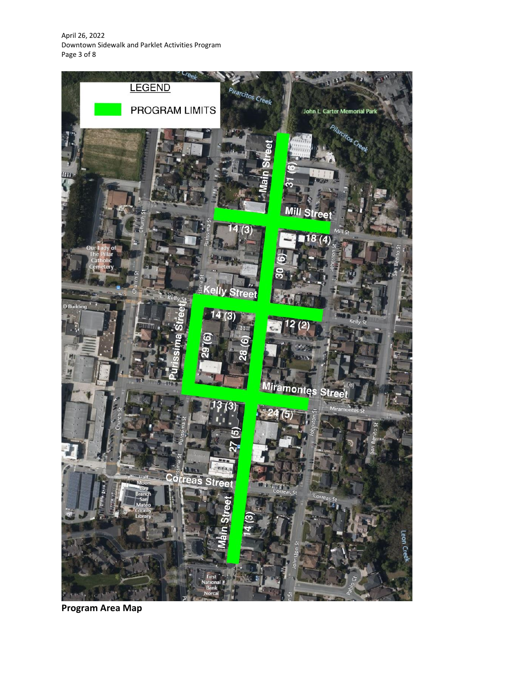April 26, 2022 Downtown Sidewalk and Parklet Activities Program Page 3 of 8



**Program Area Map**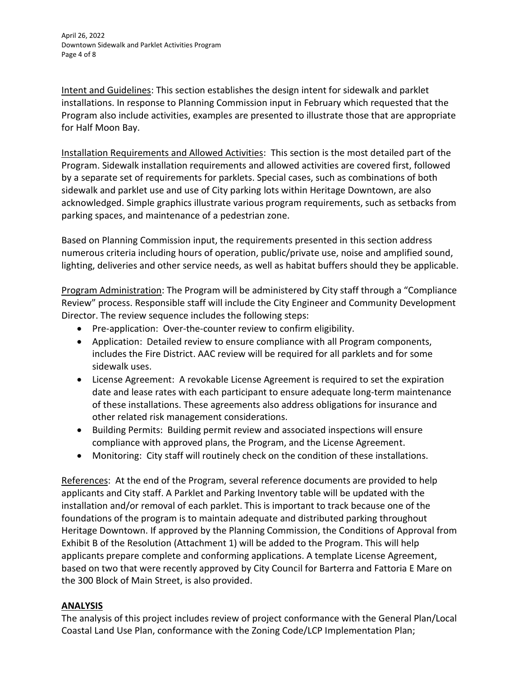April 26, 2022 Downtown Sidewalk and Parklet Activities Program Page 4 of 8

Intent and Guidelines: This section establishes the design intent for sidewalk and parklet installations. In response to Planning Commission input in February which requested that the Program also include activities, examples are presented to illustrate those that are appropriate for Half Moon Bay.

Installation Requirements and Allowed Activities: This section is the most detailed part of the Program. Sidewalk installation requirements and allowed activities are covered first, followed by a separate set of requirements for parklets. Special cases, such as combinations of both sidewalk and parklet use and use of City parking lots within Heritage Downtown, are also acknowledged. Simple graphics illustrate various program requirements, such as setbacks from parking spaces, and maintenance of a pedestrian zone.

Based on Planning Commission input, the requirements presented in this section address numerous criteria including hours of operation, public/private use, noise and amplified sound, lighting, deliveries and other service needs, as well as habitat buffers should they be applicable.

Program Administration: The Program will be administered by City staff through a "Compliance Review" process. Responsible staff will include the City Engineer and Community Development Director. The review sequence includes the following steps:

- Pre-application: Over-the-counter review to confirm eligibility.
- Application: Detailed review to ensure compliance with all Program components, includes the Fire District. AAC review will be required for all parklets and for some sidewalk uses.
- License Agreement: A revokable License Agreement is required to set the expiration date and lease rates with each participant to ensure adequate long-term maintenance of these installations. These agreements also address obligations for insurance and other related risk management considerations.
- Building Permits: Building permit review and associated inspections will ensure compliance with approved plans, the Program, and the License Agreement.
- Monitoring: City staff will routinely check on the condition of these installations.

References: At the end of the Program, several reference documents are provided to help applicants and City staff. A Parklet and Parking Inventory table will be updated with the installation and/or removal of each parklet. This is important to track because one of the foundations of the program is to maintain adequate and distributed parking throughout Heritage Downtown. If approved by the Planning Commission, the Conditions of Approval from Exhibit B of the Resolution (Attachment 1) will be added to the Program. This will help applicants prepare complete and conforming applications. A template License Agreement, based on two that were recently approved by City Council for Barterra and Fattoria E Mare on the 300 Block of Main Street, is also provided.

# **ANALYSIS**

The analysis of this project includes review of project conformance with the General Plan/Local Coastal Land Use Plan, conformance with the Zoning Code/LCP Implementation Plan;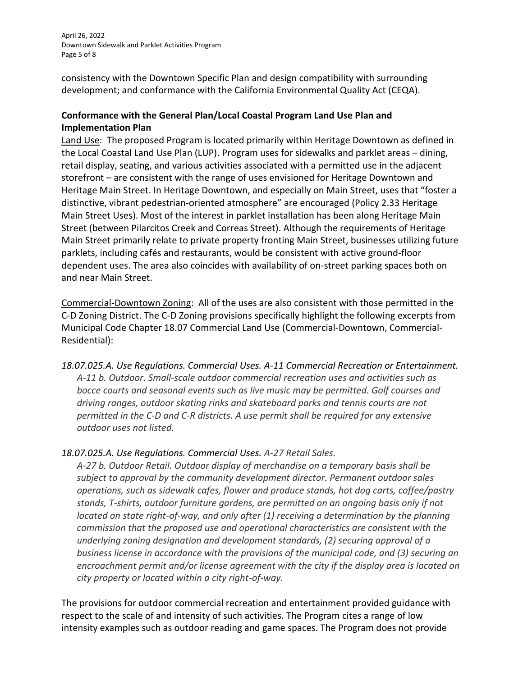April 26, 2022 Downtown Sidewalk and Parklet Activities Program Page 5 of 8

consistency with the Downtown Specific Plan and design compatibility with surrounding development; and conformance with the California Environmental Quality Act (CEQA).

# **Conformance with the General Plan/Local Coastal Program Land Use Plan and Implementation Plan**

Land Use: The proposed Program is located primarily within Heritage Downtown as defined in the Local Coastal Land Use Plan (LUP). Program uses for sidewalks and parklet areas – dining, retail display, seating, and various activities associated with a permitted use in the adjacent storefront – are consistent with the range of uses envisioned for Heritage Downtown and Heritage Main Street. In Heritage Downtown, and especially on Main Street, uses that "foster a distinctive, vibrant pedestrian-oriented atmosphere" are encouraged (Policy 2.33 Heritage Main Street Uses). Most of the interest in parklet installation has been along Heritage Main Street (between Pilarcitos Creek and Correas Street). Although the requirements of Heritage Main Street primarily relate to private property fronting Main Street, businesses utilizing future parklets, including cafés and restaurants, would be consistent with active ground-floor dependent uses. The area also coincides with availability of on-street parking spaces both on and near Main Street.

Commercial-Downtown Zoning: All of the uses are also consistent with those permitted in the C-D Zoning District. The C-D Zoning provisions specifically highlight the following excerpts from Municipal Code Chapter 18.07 Commercial Land Use (Commercial-Downtown, Commercial-Residential):

*18.07.025.A. Use Regulations. Commercial Uses. A-11 Commercial Recreation or Entertainment. A-11 b. Outdoor. Small-scale outdoor commercial recreation uses and activities such as bocce courts and seasonal events such as live music may be permitted. Golf courses and driving ranges, outdoor skating rinks and skateboard parks and tennis courts are not permitted in the C-D and C-R districts. A use permit shall be required for any extensive outdoor uses not listed.*

# *18.07.025.A. Use Regulations. Commercial Uses. A-27 Retail Sales.*

*A-27 b. Outdoor Retail. Outdoor display of merchandise on a temporary basis shall be subject to approval by the community development director. Permanent outdoor sales operations, such as sidewalk cafes, flower and produce stands, hot dog carts, coffee/pastry stands, T-shirts, outdoor furniture gardens, are permitted on an ongoing basis only if not located on state right-of-way, and only after (1) receiving a determination by the planning commission that the proposed use and operational characteristics are consistent with the underlying zoning designation and development standards, (2) securing approval of a business license in accordance with the provisions of the municipal code, and (3) securing an encroachment permit and/or license agreement with the city if the display area is located on city property or located within a city right-of-way.*

The provisions for outdoor commercial recreation and entertainment provided guidance with respect to the scale of and intensity of such activities. The Program cites a range of low intensity examples such as outdoor reading and game spaces. The Program does not provide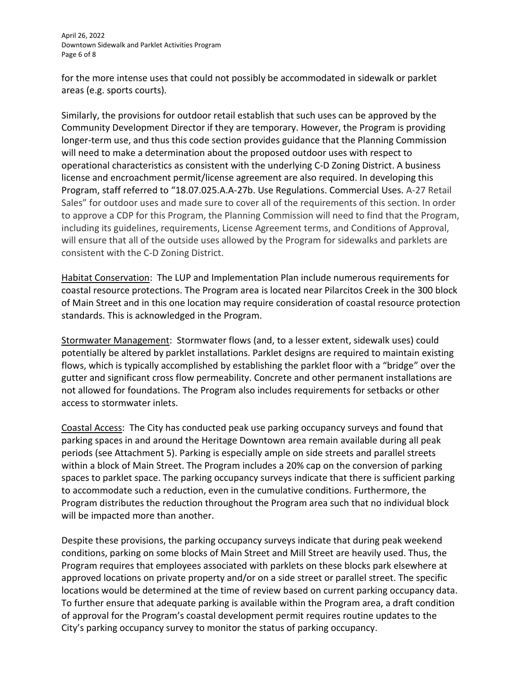April 26, 2022 Downtown Sidewalk and Parklet Activities Program Page 6 of 8

for the more intense uses that could not possibly be accommodated in sidewalk or parklet areas (e.g. sports courts).

Similarly, the provisions for outdoor retail establish that such uses can be approved by the Community Development Director if they are temporary. However, the Program is providing longer-term use, and thus this code section provides guidance that the Planning Commission will need to make a determination about the proposed outdoor uses with respect to operational characteristics as consistent with the underlying C-D Zoning District. A business license and encroachment permit/license agreement are also required. In developing this Program, staff referred to "18.07.025.A.A-27b. Use Regulations. Commercial Uses. A-27 Retail Sales" for outdoor uses and made sure to cover all of the requirements of this section. In order to approve a CDP for this Program, the Planning Commission will need to find that the Program, including its guidelines, requirements, License Agreement terms, and Conditions of Approval, will ensure that all of the outside uses allowed by the Program for sidewalks and parklets are consistent with the C-D Zoning District.

Habitat Conservation: The LUP and Implementation Plan include numerous requirements for coastal resource protections. The Program area is located near Pilarcitos Creek in the 300 block of Main Street and in this one location may require consideration of coastal resource protection standards. This is acknowledged in the Program.

Stormwater Management: Stormwater flows (and, to a lesser extent, sidewalk uses) could potentially be altered by parklet installations. Parklet designs are required to maintain existing flows, which is typically accomplished by establishing the parklet floor with a "bridge" over the gutter and significant cross flow permeability. Concrete and other permanent installations are not allowed for foundations. The Program also includes requirements for setbacks or other access to stormwater inlets.

Coastal Access: The City has conducted peak use parking occupancy surveys and found that parking spaces in and around the Heritage Downtown area remain available during all peak periods (see Attachment 5). Parking is especially ample on side streets and parallel streets within a block of Main Street. The Program includes a 20% cap on the conversion of parking spaces to parklet space. The parking occupancy surveys indicate that there is sufficient parking to accommodate such a reduction, even in the cumulative conditions. Furthermore, the Program distributes the reduction throughout the Program area such that no individual block will be impacted more than another.

Despite these provisions, the parking occupancy surveys indicate that during peak weekend conditions, parking on some blocks of Main Street and Mill Street are heavily used. Thus, the Program requires that employees associated with parklets on these blocks park elsewhere at approved locations on private property and/or on a side street or parallel street. The specific locations would be determined at the time of review based on current parking occupancy data. To further ensure that adequate parking is available within the Program area, a draft condition of approval for the Program's coastal development permit requires routine updates to the City's parking occupancy survey to monitor the status of parking occupancy.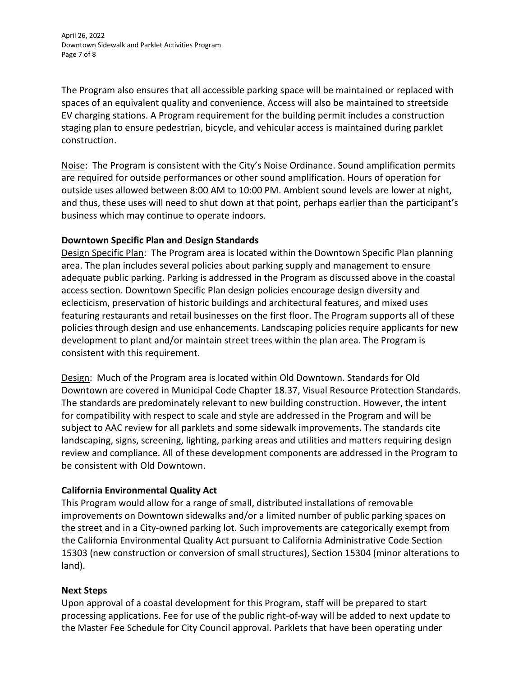April 26, 2022 Downtown Sidewalk and Parklet Activities Program Page 7 of 8

The Program also ensures that all accessible parking space will be maintained or replaced with spaces of an equivalent quality and convenience. Access will also be maintained to streetside EV charging stations. A Program requirement for the building permit includes a construction staging plan to ensure pedestrian, bicycle, and vehicular access is maintained during parklet construction.

Noise: The Program is consistent with the City's Noise Ordinance. Sound amplification permits are required for outside performances or other sound amplification. Hours of operation for outside uses allowed between 8:00 AM to 10:00 PM. Ambient sound levels are lower at night, and thus, these uses will need to shut down at that point, perhaps earlier than the participant's business which may continue to operate indoors.

## **Downtown Specific Plan and Design Standards**

Design Specific Plan: The Program area is located within the Downtown Specific Plan planning area. The plan includes several policies about parking supply and management to ensure adequate public parking. Parking is addressed in the Program as discussed above in the coastal access section. Downtown Specific Plan design policies encourage design diversity and eclecticism, preservation of historic buildings and architectural features, and mixed uses featuring restaurants and retail businesses on the first floor. The Program supports all of these policies through design and use enhancements. Landscaping policies require applicants for new development to plant and/or maintain street trees within the plan area. The Program is consistent with this requirement.

Design: Much of the Program area is located within Old Downtown. Standards for Old Downtown are covered in Municipal Code Chapter 18.37, Visual Resource Protection Standards. The standards are predominately relevant to new building construction. However, the intent for compatibility with respect to scale and style are addressed in the Program and will be subject to AAC review for all parklets and some sidewalk improvements. The standards cite landscaping, signs, screening, lighting, parking areas and utilities and matters requiring design review and compliance. All of these development components are addressed in the Program to be consistent with Old Downtown.

## **California Environmental Quality Act**

This Program would allow for a range of small, distributed installations of removable improvements on Downtown sidewalks and/or a limited number of public parking spaces on the street and in a City-owned parking lot. Such improvements are categorically exempt from the California Environmental Quality Act pursuant to California Administrative Code Section 15303 (new construction or conversion of small structures), Section 15304 (minor alterations to land).

## **Next Steps**

Upon approval of a coastal development for this Program, staff will be prepared to start processing applications. Fee for use of the public right-of-way will be added to next update to the Master Fee Schedule for City Council approval. Parklets that have been operating under